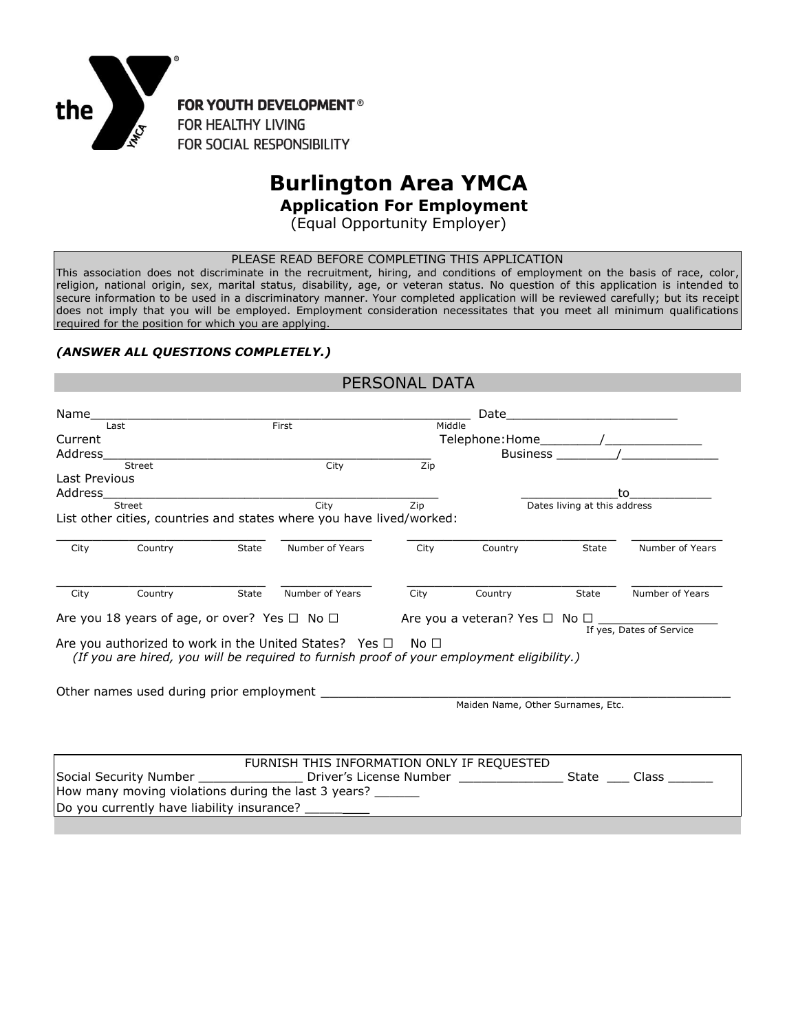

# **Burlington Area YMCA**

 **Application For Employment**

(Equal Opportunity Employer)

PLEASE READ BEFORE COMPLETING THIS APPLICATION

This association does not discriminate in the recruitment, hiring, and conditions of employment on the basis of race, color, religion, national origin, sex, marital status, disability, age, or veteran status. No question of this application is intended to secure information to be used in a discriminatory manner. Your completed application will be reviewed carefully; but its receipt does not imply that you will be employed. Employment consideration necessitates that you meet all minimum qualifications required for the position for which you are applying.

#### *(ANSWER ALL QUESTIONS COMPLETELY.)*

|                |                                            |       |                                                                                                                                                                                                                                | PERSONAL DATA                       |                                         |                                             |                          |  |
|----------------|--------------------------------------------|-------|--------------------------------------------------------------------------------------------------------------------------------------------------------------------------------------------------------------------------------|-------------------------------------|-----------------------------------------|---------------------------------------------|--------------------------|--|
| Name           |                                            |       |                                                                                                                                                                                                                                |                                     | Date                                    | <u> 1989 - Jan Samuel Barbara, martin d</u> |                          |  |
| First<br>Last  |                                            |       | Middle                                                                                                                                                                                                                         |                                     |                                         |                                             |                          |  |
| Current        |                                            |       |                                                                                                                                                                                                                                |                                     |                                         |                                             |                          |  |
| <b>Address</b> |                                            |       |                                                                                                                                                                                                                                |                                     |                                         |                                             | Business /               |  |
|                | Street                                     |       | City                                                                                                                                                                                                                           | Zip                                 |                                         |                                             |                          |  |
| Last Previous  |                                            |       |                                                                                                                                                                                                                                |                                     |                                         |                                             |                          |  |
| Address        |                                            |       |                                                                                                                                                                                                                                |                                     |                                         |                                             | to                       |  |
|                | <b>Street</b>                              |       | City                                                                                                                                                                                                                           | Dates living at this address<br>Zip |                                         |                                             |                          |  |
|                |                                            |       | List other cities, countries and states where you have lived/worked:                                                                                                                                                           |                                     |                                         |                                             |                          |  |
| City           | Country                                    | State | Number of Years                                                                                                                                                                                                                | City                                | Country                                 | State                                       | Number of Years          |  |
| City           | Country                                    | State | Number of Years                                                                                                                                                                                                                | City                                | Country                                 | State                                       | Number of Years          |  |
|                |                                            |       | Are you 18 years of age, or over? Yes $\Box$ No $\Box$                                                                                                                                                                         |                                     | Are you a veteran? Yes $\Box$ No $\Box$ |                                             | If yes, Dates of Service |  |
|                |                                            |       | Are you authorized to work in the United States? Yes $\square$ No $\square$<br>(If you are hired, you will be required to furnish proof of your employment eligibility.)                                                       |                                     |                                         |                                             |                          |  |
|                |                                            |       | Other names used during prior employment example. The state of the state of the state of the state of the state of the state of the state of the state of the state of the state of the state of the state of the state of the |                                     |                                         |                                             |                          |  |
|                |                                            |       |                                                                                                                                                                                                                                |                                     | Maiden Name, Other Surnames, Etc.       |                                             |                          |  |
|                |                                            |       |                                                                                                                                                                                                                                |                                     |                                         |                                             |                          |  |
|                |                                            |       | FURNISH THIS INFORMATION ONLY IF REQUESTED                                                                                                                                                                                     |                                     |                                         |                                             |                          |  |
|                |                                            |       | Social Security Number _____________________ Driver's License Number ___________________ State ____ Class _                                                                                                                    |                                     |                                         |                                             |                          |  |
|                |                                            |       | How many moving violations during the last 3 years? ______                                                                                                                                                                     |                                     |                                         |                                             |                          |  |
|                | Do you currently have liability insurance? |       |                                                                                                                                                                                                                                |                                     |                                         |                                             |                          |  |
|                |                                            |       |                                                                                                                                                                                                                                |                                     |                                         |                                             |                          |  |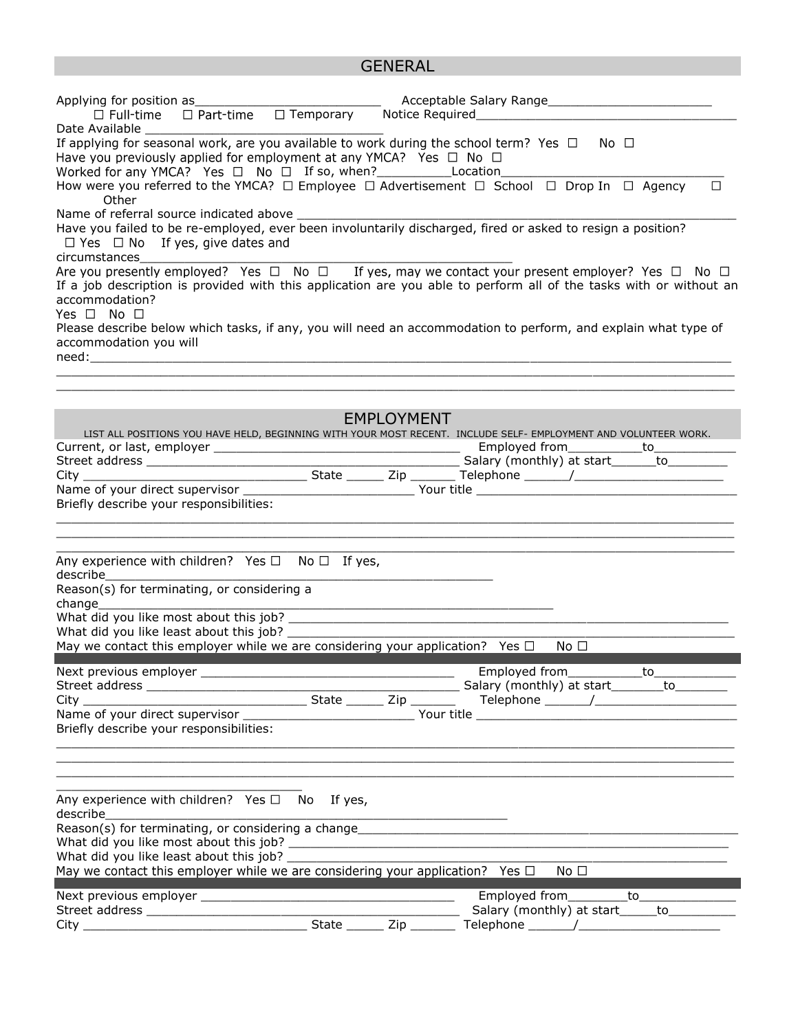## GENERAL

| □ Part-time □ Temporary Notice Required<br>$\Box$ Full-time                                                                                                                                                                                                                                                                                                                                                             |  |                                                                    |                                              |                                                                                           |  |  |  |  |
|-------------------------------------------------------------------------------------------------------------------------------------------------------------------------------------------------------------------------------------------------------------------------------------------------------------------------------------------------------------------------------------------------------------------------|--|--------------------------------------------------------------------|----------------------------------------------|-------------------------------------------------------------------------------------------|--|--|--|--|
| Date Available and the state of the state of the state of the state of the state of the state of the state of the state of the state of the state of the state of the state of the state of the state of the state of the stat<br>If applying for seasonal work, are you available to work during the school term? Yes $\Box$ No $\Box$<br>Have you previously applied for employment at any YMCA? Yes $\Box$ No $\Box$ |  |                                                                    |                                              |                                                                                           |  |  |  |  |
| Worked for any YMCA? Yes □ No □ If so, when? ________________Location_<br>How were you referred to the YMCA? $\Box$ Employee $\Box$ Advertisement $\Box$ School $\Box$ Drop In $\Box$ Agency<br>$\Box$<br>Other                                                                                                                                                                                                         |  |                                                                    |                                              |                                                                                           |  |  |  |  |
| Name of referral source indicated above _<br>Have you failed to be re-employed, ever been involuntarily discharged, fired or asked to resign a position?<br>$\Box$ Yes $\Box$ No If yes, give dates and<br>circumstances                                                                                                                                                                                                |  |                                                                    |                                              |                                                                                           |  |  |  |  |
| Are you presently employed? Yes $\Box$ No $\Box$ If yes, may we contact your present employer? Yes $\Box$ No $\Box$<br>If a job description is provided with this application are you able to perform all of the tasks with or without an<br>accommodation?<br>Yes $\Box$ No $\Box$                                                                                                                                     |  |                                                                    |                                              |                                                                                           |  |  |  |  |
| Please describe below which tasks, if any, you will need an accommodation to perform, and explain what type of<br>accommodation you will                                                                                                                                                                                                                                                                                |  |                                                                    |                                              |                                                                                           |  |  |  |  |
|                                                                                                                                                                                                                                                                                                                                                                                                                         |  |                                                                    |                                              |                                                                                           |  |  |  |  |
| LIST ALL POSITIONS YOU HAVE HELD, BEGINNING WITH YOUR MOST RECENT. INCLUDE SELF- EMPLOYMENT AND VOLUNTEER WORK.<br>Briefly describe your responsibilities:                                                                                                                                                                                                                                                              |  | <b>EMPLOYMENT</b>                                                  |                                              |                                                                                           |  |  |  |  |
| Any experience with children? Yes $\Box$ No $\Box$ If yes,<br>describe and the state of the state of the state of the state of the state of the state of the state of the state of the state of the state of the state of the state of the state of the state of the state of the state of th                                                                                                                           |  |                                                                    |                                              |                                                                                           |  |  |  |  |
| Reason(s) for terminating, or considering a<br>change                                                                                                                                                                                                                                                                                                                                                                   |  |                                                                    |                                              |                                                                                           |  |  |  |  |
| What did you like least about this job?<br>May we contact this employer while we are considering your application? Yes $\square$ No $\square$                                                                                                                                                                                                                                                                           |  |                                                                    |                                              |                                                                                           |  |  |  |  |
| Briefly describe your responsibilities:                                                                                                                                                                                                                                                                                                                                                                                 |  |                                                                    |                                              |                                                                                           |  |  |  |  |
|                                                                                                                                                                                                                                                                                                                                                                                                                         |  |                                                                    |                                              |                                                                                           |  |  |  |  |
| Any experience with children? Yes $\Box$ No If yes,<br>describe                                                                                                                                                                                                                                                                                                                                                         |  | <u> 1989 - Johann John Stone, mensk politik fotograf (d. 1989)</u> |                                              |                                                                                           |  |  |  |  |
| May we contact this employer while we are considering your application? Yes $\Box$                                                                                                                                                                                                                                                                                                                                      |  |                                                                    |                                              | No <sub>1</sub>                                                                           |  |  |  |  |
|                                                                                                                                                                                                                                                                                                                                                                                                                         |  |                                                                    |                                              | Employed from___________to________________<br>Salary (monthly) at start______to__________ |  |  |  |  |
|                                                                                                                                                                                                                                                                                                                                                                                                                         |  | $Zip$ <sub>_______</sub>                                           | Telephone ________/_________________________ |                                                                                           |  |  |  |  |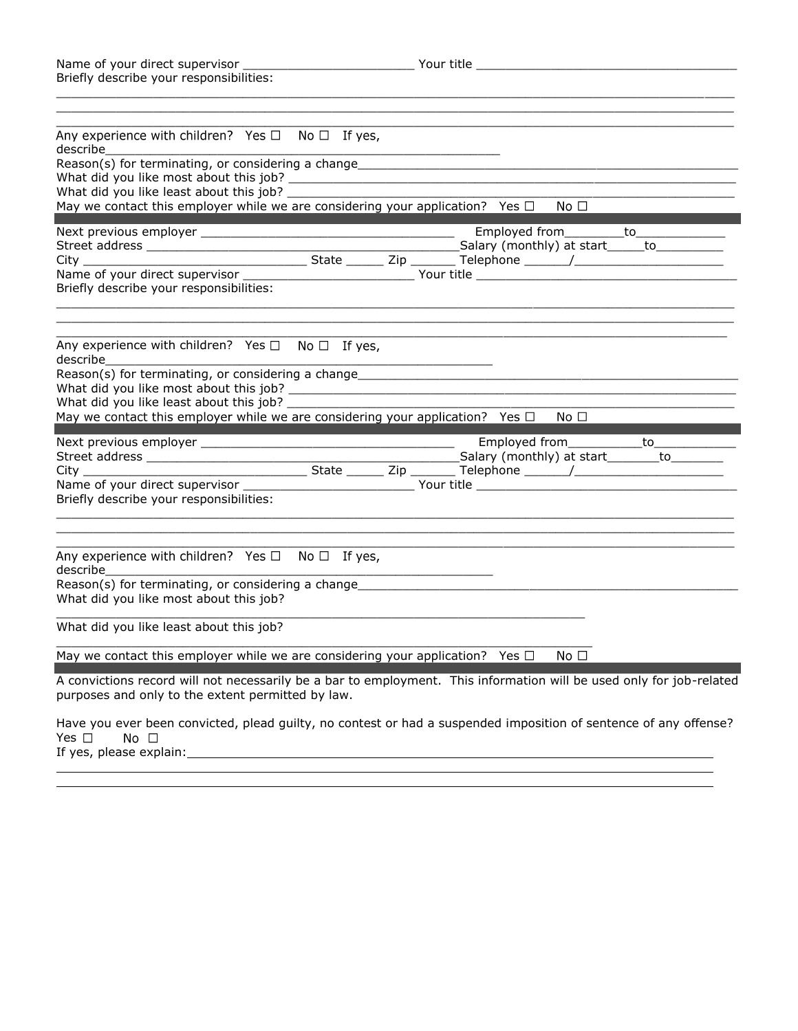| Name of your direct supervisor          | Your title |
|-----------------------------------------|------------|
| Briefly describe your responsibilities: |            |

| Any experience with children? Yes $\Box$ No $\Box$ If yes,<br>describe                                                                                                    |  |                                     |      |  |
|---------------------------------------------------------------------------------------------------------------------------------------------------------------------------|--|-------------------------------------|------|--|
|                                                                                                                                                                           |  |                                     |      |  |
| What did you like least about this job? __________                                                                                                                        |  |                                     |      |  |
| May we contact this employer while we are considering your application? Yes $\Box$                                                                                        |  |                                     | No □ |  |
|                                                                                                                                                                           |  | Employed from__________to__________ |      |  |
| Briefly describe your responsibilities:                                                                                                                                   |  |                                     |      |  |
| Any experience with children? Yes $\Box$ No $\Box$ If yes,<br>describe                                                                                                    |  |                                     |      |  |
| May we contact this employer while we are considering your application? Yes $\square$ No $\square$                                                                        |  |                                     |      |  |
|                                                                                                                                                                           |  |                                     |      |  |
|                                                                                                                                                                           |  |                                     |      |  |
|                                                                                                                                                                           |  |                                     |      |  |
| Briefly describe your responsibilities:                                                                                                                                   |  |                                     |      |  |
| Any experience with children? Yes $\Box$ No $\Box$ If yes,<br>describe                                                                                                    |  |                                     |      |  |
| Reason(s) for terminating, or considering a change______________________________<br>What did you like most about this job?                                                |  |                                     |      |  |
| What did you like least about this job?                                                                                                                                   |  |                                     |      |  |
| May we contact this employer while we are considering your application? Yes $\square$ No $\square$                                                                        |  |                                     |      |  |
| A convictions record will not necessarily be a bar to employment. This information will be used only for job-related<br>purposes and only to the extent permitted by law. |  |                                     |      |  |
| Have you ever been convicted, plead guilty, no contest or had a suspended imposition of sentence of any offense?<br>Yes $\square$<br>$No$ $\Box$                          |  |                                     |      |  |

If yes, please explain: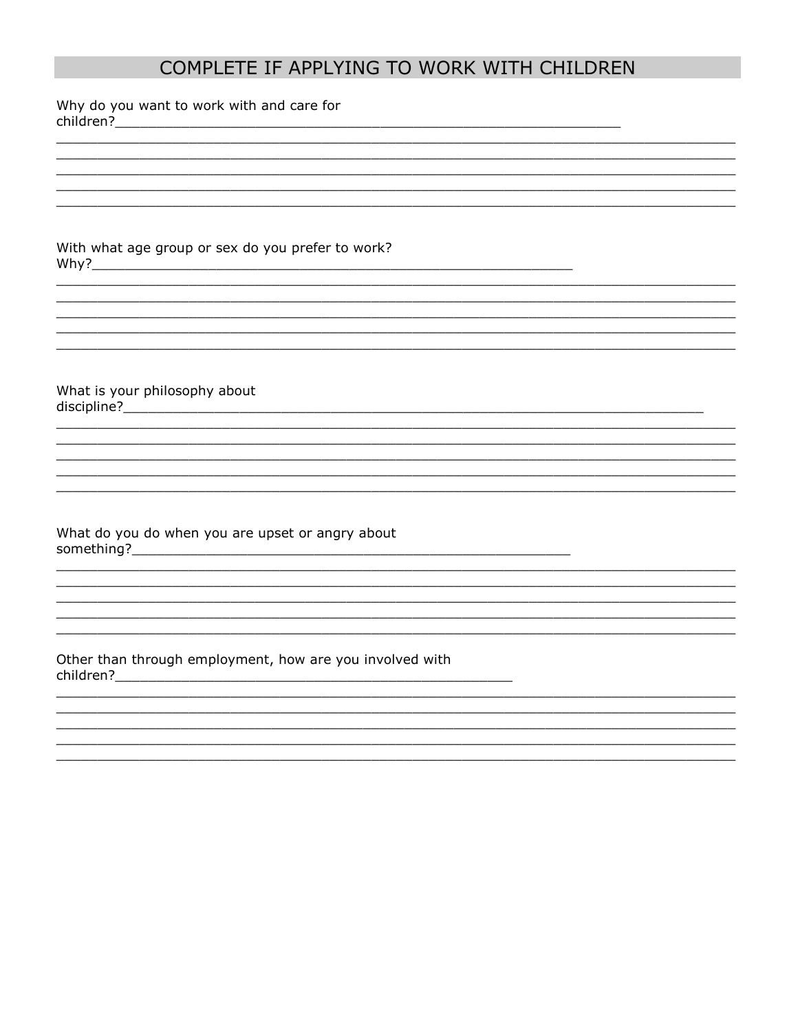## COMPLETE IF APPLYING TO WORK WITH CHILDREN

Why do you want to work with and care for 

With what age group or sex do you prefer to work? Why?

What is your philosophy about 

What do you do when you are upset or angry about 

Other than through employment, how are you involved with 

<u> 1989 - Johann Harry Harry Harry Harry Harry Harry Harry Harry Harry Harry Harry Harry Harry Harry Harry Harry</u>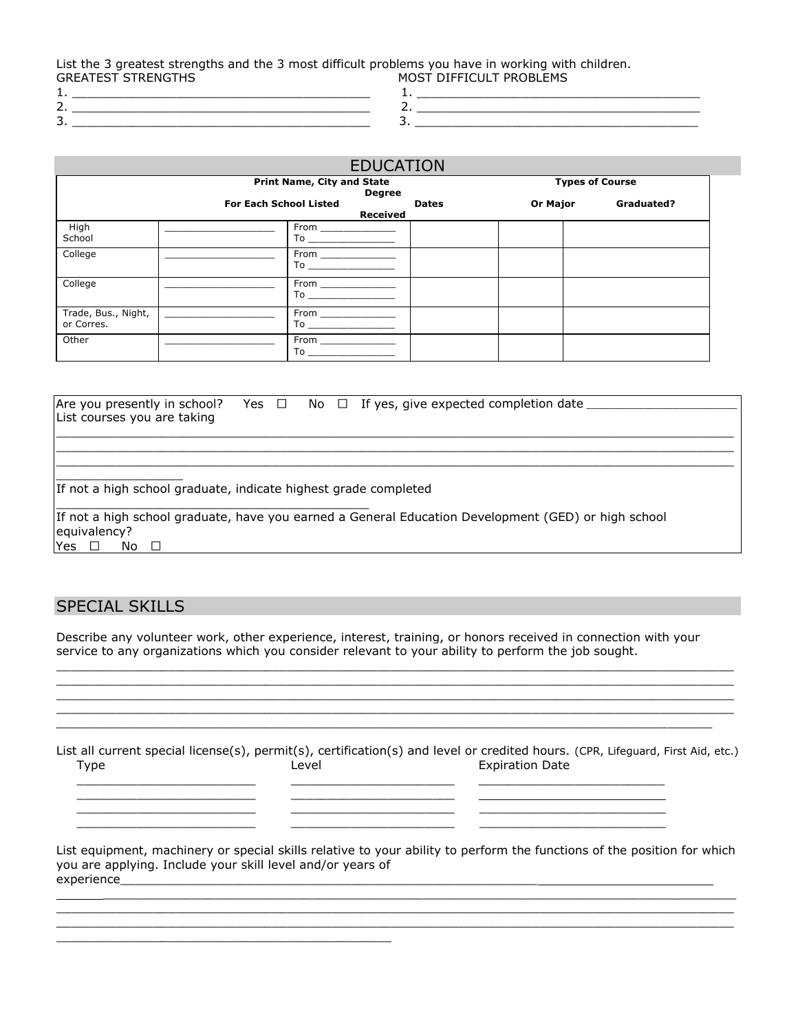List the 3 greatest strengths and the 3 most difficult problems you have in working with children. GREATEST STRENGTHS MOST DIFFICULT PROBLEMS

- 1. \_\_\_\_\_\_\_\_\_\_\_\_\_\_\_\_\_\_\_\_\_\_\_\_\_\_\_\_\_\_\_\_\_\_\_\_\_\_\_\_ 1. \_\_\_\_\_\_\_\_\_\_\_\_\_\_\_\_\_\_\_\_\_\_\_\_\_\_\_\_\_\_\_\_\_\_\_\_\_\_
- 
- 2.  $\Box$ 3. \_\_\_\_\_\_\_\_\_\_\_\_\_\_\_\_\_\_\_\_\_\_\_\_\_\_\_\_\_\_\_\_\_\_\_\_\_\_\_\_ 3. \_\_\_\_\_\_\_\_\_\_\_\_\_\_\_\_\_\_\_\_\_\_\_\_\_\_\_\_\_\_\_\_\_\_\_\_\_\_
- EDUCATION **Print Name, City and State Types of Course 1999 Degree For Each School Listed Dates Or Major Graduated? Received High** School From \_ To  $_$ College \_\_\_\_\_\_\_\_\_\_\_\_\_\_\_\_\_\_\_ From \_\_\_\_\_\_\_\_\_\_\_\_\_ To \_\_\_\_\_\_\_\_\_\_\_\_\_\_\_ College \_\_\_\_\_\_\_\_\_\_\_\_\_\_\_\_\_\_\_ From \_\_\_\_\_\_\_\_\_\_\_\_\_ To  $\_$ Trade, Bus., Night, or Corres. From  $To$ Other \_\_\_\_\_\_\_\_\_\_\_\_\_\_\_\_\_\_\_ From \_\_\_\_\_\_\_\_\_\_\_\_\_  $To$   $\overline{\phantom{0}}$

| Are you presently in school?                                                                        |  |  | Yes $\Box$ No $\Box$ If yes, give expected completion date _ |  |  |  |  |  |
|-----------------------------------------------------------------------------------------------------|--|--|--------------------------------------------------------------|--|--|--|--|--|
| List courses you are taking                                                                         |  |  |                                                              |  |  |  |  |  |
|                                                                                                     |  |  |                                                              |  |  |  |  |  |
|                                                                                                     |  |  |                                                              |  |  |  |  |  |
|                                                                                                     |  |  |                                                              |  |  |  |  |  |
|                                                                                                     |  |  |                                                              |  |  |  |  |  |
| If not a high school graduate, indicate highest grade completed                                     |  |  |                                                              |  |  |  |  |  |
|                                                                                                     |  |  |                                                              |  |  |  |  |  |
| If not a high school graduate, have you earned a General Education Development (GED) or high school |  |  |                                                              |  |  |  |  |  |
| equivalency?                                                                                        |  |  |                                                              |  |  |  |  |  |
| Yes.<br>No                                                                                          |  |  |                                                              |  |  |  |  |  |

## SPECIAL SKILLS

Describe any volunteer work, other experience, interest, training, or honors received in connection with your service to any organizations which you consider relevant to your ability to perform the job sought.

 $\_$  ,  $\_$  ,  $\_$  ,  $\_$  ,  $\_$  ,  $\_$  ,  $\_$  ,  $\_$  ,  $\_$  ,  $\_$  ,  $\_$  ,  $\_$  ,  $\_$  ,  $\_$  ,  $\_$  ,  $\_$  ,  $\_$  ,  $\_$  ,  $\_$  ,  $\_$  ,  $\_$  ,  $\_$  ,  $\_$  ,  $\_$  ,  $\_$  ,  $\_$  ,  $\_$  ,  $\_$  ,  $\_$  ,  $\_$  ,  $\_$  ,  $\_$  ,  $\_$  ,  $\_$  ,  $\_$  ,  $\_$  ,  $\_$  ,  $\_$  ,  $\_$  ,  $\_$  ,  $\_$  ,  $\_$  ,  $\_$  ,  $\_$  ,  $\_$  ,  $\_$  ,  $\_$  ,  $\_$  ,  $\_$  ,  $\_$  ,  $\_$  ,  $\_$  ,  $\_$  ,  $\_$  ,  $\_$  ,  $\_$  ,  $\_$  ,  $\_$  ,  $\_$  ,  $\_$  ,  $\_$  ,  $\_$  ,  $\_$  ,  $\_$  ,  $\_$  ,  $\_$  ,  $\_$  ,  $\_$  ,  $\_$  ,  $\_$  ,  $\_$  ,  $\_$  ,  $\_$  ,  $\_$  ,  $\Box$  $\Box$  $\_$  ,  $\_$  ,  $\_$  ,  $\_$  ,  $\_$  ,  $\_$  ,  $\_$  ,  $\_$  ,  $\_$  ,  $\_$  ,  $\_$  ,  $\_$  ,  $\_$  ,  $\_$  ,  $\_$  ,  $\_$  ,  $\_$  ,  $\_$  ,  $\_$  ,  $\_$  ,  $\_$  ,  $\_$  ,  $\_$  ,  $\_$  ,  $\_$  ,  $\_$  ,  $\_$  ,  $\_$  ,  $\_$  ,  $\_$  ,  $\_$  ,  $\_$  ,  $\_$  ,  $\_$  ,  $\_$  ,  $\_$  ,  $\_$  ,

List all current special license(s), permit(s), certification(s) and level or credited hours. (CPR, Lifeguard, First Aid, etc.) Type **Level** Level **Expiration Date** 

 $\frac{1}{2}$  ,  $\frac{1}{2}$  ,  $\frac{1}{2}$  ,  $\frac{1}{2}$  ,  $\frac{1}{2}$  ,  $\frac{1}{2}$  ,  $\frac{1}{2}$  ,  $\frac{1}{2}$  ,  $\frac{1}{2}$  ,  $\frac{1}{2}$  ,  $\frac{1}{2}$  ,  $\frac{1}{2}$  ,  $\frac{1}{2}$  ,  $\frac{1}{2}$  ,  $\frac{1}{2}$  ,  $\frac{1}{2}$  ,  $\frac{1}{2}$  ,  $\frac{1}{2}$  ,  $\frac{1$ 

 $\frac{1}{2}$  ,  $\frac{1}{2}$  ,  $\frac{1}{2}$  ,  $\frac{1}{2}$  ,  $\frac{1}{2}$  ,  $\frac{1}{2}$  ,  $\frac{1}{2}$  ,  $\frac{1}{2}$  ,  $\frac{1}{2}$  ,  $\frac{1}{2}$  ,  $\frac{1}{2}$  ,  $\frac{1}{2}$  ,  $\frac{1}{2}$  ,  $\frac{1}{2}$  ,  $\frac{1}{2}$  ,  $\frac{1}{2}$  ,  $\frac{1}{2}$  ,  $\frac{1}{2}$  ,  $\frac{1$ 

\_\_\_\_\_\_\_\_\_\_\_\_\_\_\_\_\_\_\_\_\_\_\_\_ \_\_\_\_\_\_\_\_\_\_\_\_\_\_\_\_\_\_\_\_\_\_

\_\_\_\_\_\_\_\_\_\_\_\_\_\_\_\_\_\_\_\_\_\_\_\_\_\_\_\_\_\_\_\_\_\_\_\_\_\_\_\_\_\_\_\_\_

| List equipment, machinery or special skills relative to your ability to perform the functions of the position for which |
|-------------------------------------------------------------------------------------------------------------------------|
| you are applying. Include your skill level and/or years of                                                              |
| experience                                                                                                              |

 $\_$  ,  $\_$  ,  $\_$  ,  $\_$  ,  $\_$  ,  $\_$  ,  $\_$  ,  $\_$  ,  $\_$  ,  $\_$  ,  $\_$  ,  $\_$  ,  $\_$  ,  $\_$  ,  $\_$  ,  $\_$  ,  $\_$  ,  $\_$  ,  $\_$  ,  $\_$  ,  $\_$  ,  $\_$  ,  $\_$  ,  $\_$  ,  $\_$  ,  $\_$  ,  $\_$  ,  $\_$  ,  $\_$  ,  $\_$  ,  $\_$  ,  $\_$  ,  $\_$  ,  $\_$  ,  $\_$  ,  $\_$  ,  $\_$  ,  $\_$  ,  $\_$  ,  $\_$  ,  $\_$  ,  $\_$  ,  $\_$  ,  $\_$  ,  $\_$  ,  $\_$  ,  $\_$  ,  $\_$  ,  $\_$  ,  $\_$  ,  $\_$  ,  $\_$  ,  $\_$  ,  $\_$  ,  $\_$  ,  $\_$  ,  $\_$  ,  $\_$  ,  $\_$  ,  $\_$  ,  $\_$  ,  $\_$  ,  $\_$  ,  $\_$  ,  $\_$  ,  $\_$  ,  $\_$  ,  $\_$  ,  $\_$  ,  $\_$  ,  $\_$  ,  $\_$  ,  $\_$  ,  $\_$  ,

 $\mathcal{L}_\text{max}$  , and the set of the set of the set of the set of the set of the set of the set of the set of the set of the set of the set of the set of the set of the set of the set of the set of the set of the set of the

\_\_\_\_\_\_\_\_\_\_\_\_\_\_\_\_\_\_\_\_\_\_\_\_ \_\_\_\_\_\_\_\_\_\_\_\_\_\_\_\_\_\_\_\_\_\_ \_\_\_\_\_\_\_\_\_\_\_\_\_\_\_\_\_\_\_\_\_\_\_\_\_